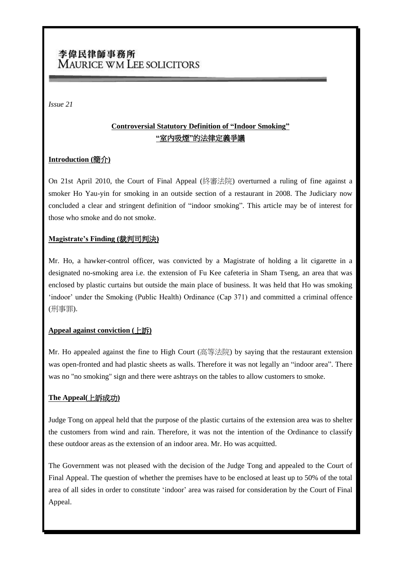# 李偉民律師事務所 MAURICE WM LEE SOLICITORS

*Issue 21*

# **Controversial Statutory Definition of "Indoor Smoking" "**室內吸煙**"**的法律定義爭議

# **Introduction (**簡介**)**

On 21st April 2010, the Court of Final Appeal (終審法院) overturned a ruling of fine against a smoker Ho Yau-yin for smoking in an outside section of a restaurant in 2008. The Judiciary now concluded a clear and stringent definition of "indoor smoking". This article may be of interest for those who smoke and do not smoke.

#### **Magistrate's Finding (**裁判司判決**)**

Mr. Ho, a hawker-control officer, was convicted by a Magistrate of holding a lit cigarette in a designated no-smoking area i.e. the extension of Fu Kee cafeteria in Sham Tseng, an area that was enclosed by plastic curtains but outside the main place of business. It was held that Ho was smoking 'indoor' under the Smoking (Public Health) Ordinance (Cap 371) and committed a criminal offence (刑事罪).

# **Appeal against conviction (**上訴**)**

Mr. Ho appealed against the fine to High Court (高等法院) by saying that the restaurant extension was open-fronted and had plastic sheets as walls. Therefore it was not legally an "indoor area". There was no "no smoking" sign and there were ashtrays on the tables to allow customers to smoke.

# **The Appeal(**上訴成功**)**

Judge Tong on appeal held that the purpose of the plastic curtains of the extension area was to shelter the customers from wind and rain. Therefore, it was not the intention of the Ordinance to classify these outdoor areas as the extension of an indoor area. Mr. Ho was acquitted.

The Government was not pleased with the decision of the Judge Tong and appealed to the Court of Final Appeal. The question of whether the premises have to be enclosed at least up to 50% of the total area of all sides in order to constitute "indoor" area was raised for consideration by the Court of Final Appeal.